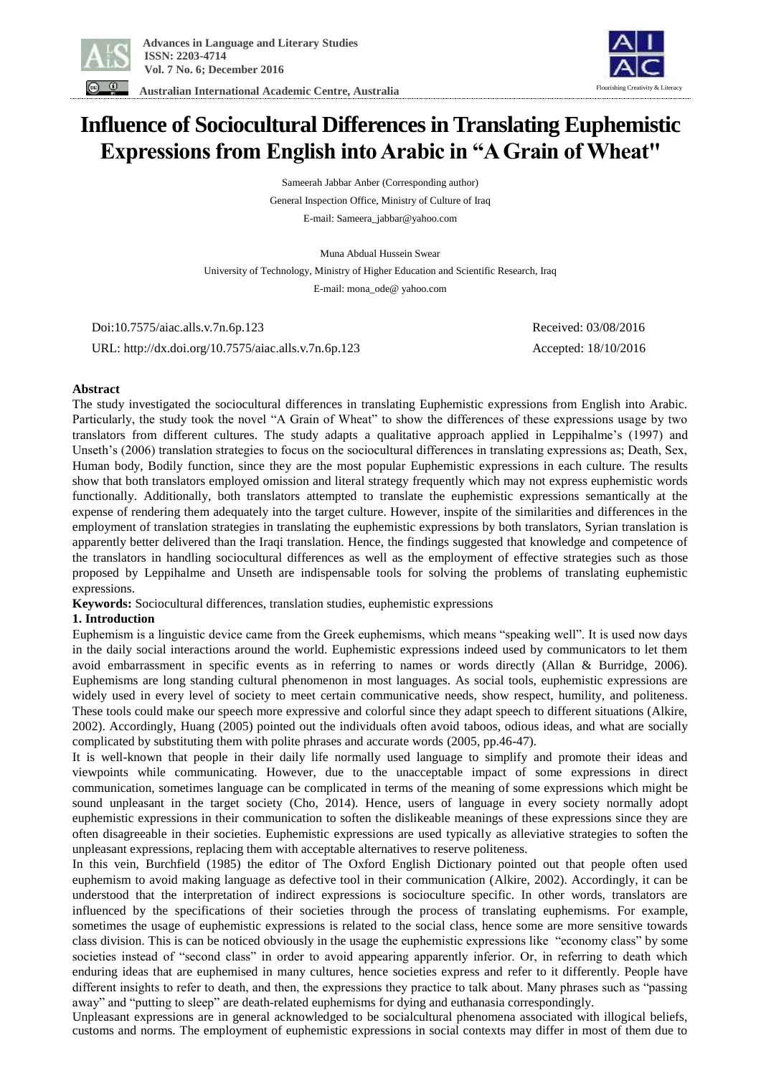

 **Australian International Academic Centre, Australia** 

# Flourishing Creativity & Literacy

# **Influence of Sociocultural Differences in Translating Euphemistic Expressions from English into Arabic in "A Grain of Wheat"**

Sameerah Jabbar Anber (Corresponding author) General Inspection Office, Ministry of Culture of Iraq E-mail: Sameera\_jabbar@yahoo.com

Muna Abdual Hussein Swear University of Technology, Ministry of Higher Education and Scientific Research, Iraq E-mail: mona\_ode@ yahoo.com

 Doi:10.7575/aiac.alls.v.7n.6p.123 Received: 03/08/2016 URL: http://dx.doi.org/10.7575/aiac.alls.v.7n.6p.123 Accepted: 18/10/2016

# **Abstract**

The study investigated the sociocultural differences in translating Euphemistic expressions from English into Arabic. Particularly, the study took the novel "A Grain of Wheat" to show the differences of these expressions usage by two translators from different cultures. The study adapts a qualitative approach applied in Leppihalme's (1997) and Unseth's (2006) translation strategies to focus on the sociocultural differences in translating expressions as; Death, Sex, Human body, Bodily function, since they are the most popular Euphemistic expressions in each culture. The results show that both translators employed omission and literal strategy frequently which may not express euphemistic words functionally. Additionally, both translators attempted to translate the euphemistic expressions semantically at the expense of rendering them adequately into the target culture. However, inspite of the similarities and differences in the employment of translation strategies in translating the euphemistic expressions by both translators, Syrian translation is apparently better delivered than the Iraqi translation. Hence, the findings suggested that knowledge and competence of the translators in handling sociocultural differences as well as the employment of effective strategies such as those proposed by Leppihalme and Unseth are indispensable tools for solving the problems of translating euphemistic expressions.

**Keywords:** Sociocultural differences, translation studies, euphemistic expressions

# **1. Introduction**

Euphemism is a linguistic device came from the Greek euphemisms, which means "speaking well". It is used now days in the daily social interactions around the world. Euphemistic expressions indeed used by communicators to let them avoid embarrassment in specific events as in referring to names or words directly (Allan & Burridge, 2006). Euphemisms are long standing cultural phenomenon in most languages. As social tools, euphemistic expressions are widely used in every level of society to meet certain communicative needs, show respect, humility, and politeness. These tools could make our speech more expressive and colorful since they adapt speech to different situations (Alkire, 2002). Accordingly, Huang (2005) pointed out the individuals often avoid taboos, odious ideas, and what are socially complicated by substituting them with polite phrases and accurate words (2005, pp.46-47).

It is well-known that people in their daily life normally used language to simplify and promote their ideas and viewpoints while communicating. However, due to the unacceptable impact of some expressions in direct communication, sometimes language can be complicated in terms of the meaning of some expressions which might be sound unpleasant in the target society (Cho, 2014). Hence, users of language in every society normally adopt euphemistic expressions in their communication to soften the dislikeable meanings of these expressions since they are often disagreeable in their societies. Euphemistic expressions are used typically as alleviative strategies to soften the unpleasant expressions, replacing them with acceptable alternatives to reserve politeness.

In this vein, Burchfield (1985) the editor of The Oxford English Dictionary pointed out that people often used euphemism to avoid making language as defective tool in their communication (Alkire, 2002). Accordingly, it can be understood that the interpretation of indirect expressions is socioculture specific. In other words, translators are influenced by the specifications of their societies through the process of translating euphemisms. For example, sometimes the usage of euphemistic expressions is related to the social class, hence some are more sensitive towards class division. This is can be noticed obviously in the usage the euphemistic expressions like "economy class" by some societies instead of "second class" in order to avoid appearing apparently inferior. Or, in referring to death which enduring ideas that are euphemised in many cultures, hence societies express and refer to it differently. People have different insights to refer to death, and then, the expressions they practice to talk about. Many phrases such as "passing away" and "putting to sleep" are death-related euphemisms for dying and euthanasia correspondingly.

Unpleasant expressions are in general acknowledged to be socialcultural phenomena associated with illogical beliefs, customs and norms. The employment of euphemistic expressions in social contexts may differ in most of them due to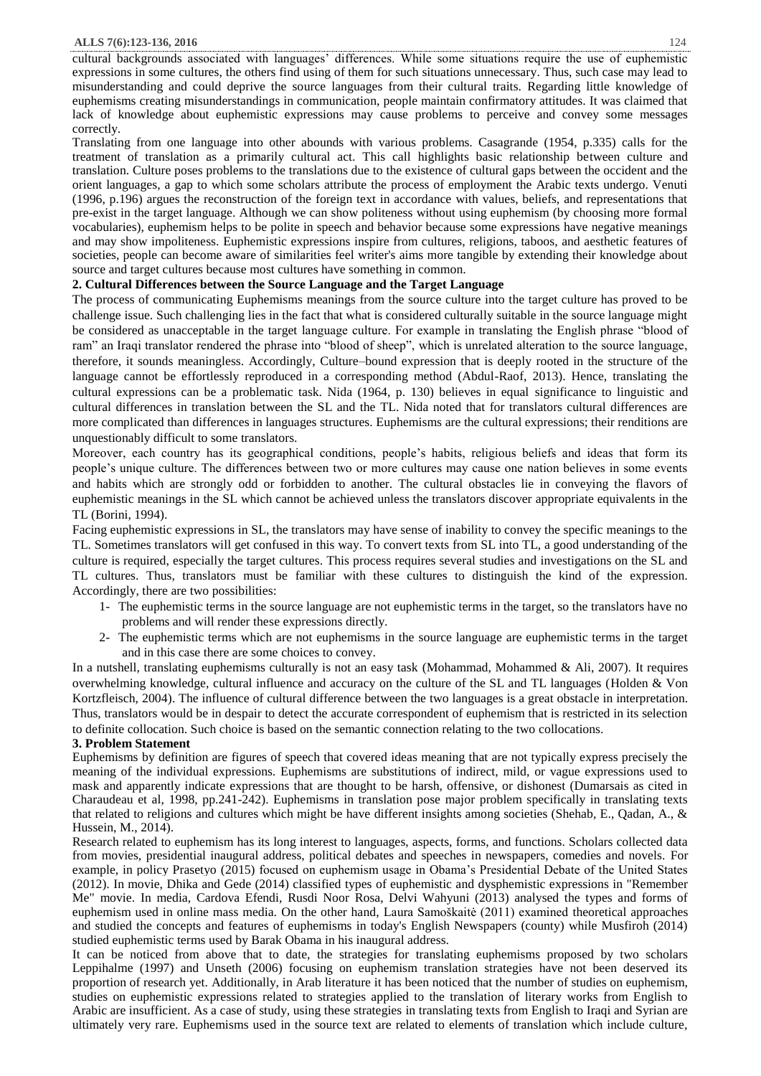cultural backgrounds associated with languages' differences. While some situations require the use of euphemistic expressions in some cultures, the others find using of them for such situations unnecessary. Thus, such case may lead to misunderstanding and could deprive the source languages from their cultural traits. Regarding little knowledge of euphemisms creating misunderstandings in communication, people maintain confirmatory attitudes. It was claimed that lack of knowledge about euphemistic expressions may cause problems to perceive and convey some messages correctly.

Translating from one language into other abounds with various problems. Casagrande (1954, p.335) calls for the treatment of translation as a primarily cultural act. This call highlights basic relationship between culture and translation. Culture poses problems to the translations due to the existence of cultural gaps between the occident and the orient languages, a gap to which some scholars attribute the process of employment the Arabic texts undergo. Venuti (1996, p.196) argues the reconstruction of the foreign text in accordance with values, beliefs, and representations that pre-exist in the target language. Although we can show politeness without using euphemism (by choosing more formal vocabularies), euphemism helps to be polite in speech and behavior because some expressions have negative meanings and may show impoliteness. Euphemistic expressions inspire from cultures, religions, taboos, and aesthetic features of societies, people can become aware of similarities feel writer's aims more tangible by extending their knowledge about source and target cultures because most cultures have something in common.

# **2. Cultural Differences between the Source Language and the Target Language**

The process of communicating Euphemisms meanings from the source culture into the target culture has proved to be challenge issue. Such challenging lies in the fact that what is considered culturally suitable in the source language might be considered as unacceptable in the target language culture. For example in translating the English phrase "blood of ram" an Iraqi translator rendered the phrase into "blood of sheep", which is unrelated alteration to the source language, therefore, it sounds meaningless. Accordingly, Culture–bound expression that is deeply rooted in the structure of the language cannot be effortlessly reproduced in a corresponding method (Abdul-Raof, 2013). Hence, translating the cultural expressions can be a problematic task. Nida (1964, p. 130) believes in equal significance to [linguistic](http://www.translationdirectory.com/articles/article2052.php) and cultural differences in translation between the SL and the TL. Nida noted that for translators cultural differences are more complicated than differences in languages structures. Euphemisms are the cultural expressions; their renditions are unquestionably difficult to some translators.

Moreover, each country has its geographical conditions, people's habits, religious beliefs and ideas that form its people's unique culture. The differences between two or more cultures may cause one nation believes in some events and habits which are strongly odd or forbidden to another. The cultural obstacles lie in conveying the flavors of euphemistic meanings in the SL which cannot be achieved unless the translators discover appropriate equivalents in the TL (Borini, 1994).

Facing euphemistic expressions in SL, the translators may have sense of inability to convey the specific meanings to the TL. Sometimes translators will get confused in this way. To convert texts from SL into TL, a good understanding of the culture is required, especially the target cultures. This process requires several studies and investigations on the SL and TL cultures. Thus, translators must be familiar with these cultures to distinguish the kind of the expression. Accordingly, there are two possibilities:

- 1- The euphemistic terms in the source language are not euphemistic terms in the target, so the translators have no problems and will render these expressions directly.
- 2- The euphemistic terms which are not euphemisms in the source language are euphemistic terms in the target and in this case there are some choices to convey.

In a nutshell, translating euphemisms culturally is not an easy task (Mohammad, Mohammed & Ali, 2007). It requires overwhelming knowledge, cultural influence and accuracy on the culture of the SL and TL languages (Holden & Von Kortzfleisch, 2004). The influence of cultural difference between the two languages is a great obstacle in interpretation. Thus, translators would be in despair to detect the accurate correspondent of euphemism that is restricted in its selection to definite collocation. Such choice is based on the semantic connection relating to the two collocations.

#### **3. Problem Statement**

Euphemisms by definition are figures of speech that covered ideas meaning that are not typically express precisely the meaning of the individual expressions. Euphemisms are substitutions of indirect, mild, or vague expressions used to mask and apparently indicate expressions that are thought to be harsh, offensive, or dishonest (Dumarsais as cited in Charaudeau et al, 1998, pp.241-242). Euphemisms in translation pose major problem specifically in translating texts that related to religions and cultures which might be have different insights among societies (Shehab, E., Qadan, A., & Hussein, M., 2014).

Research related to euphemism has its long interest to languages, aspects, forms, and functions. Scholars collected data from movies, presidential inaugural address, political debates and speeches in newspapers, comedies and novels. For example, in policy Prasetyo (2015) focused on euphemism usage in Obama's Presidential Debate of the United States (2012). In movie, Dhika and Gede (2014) classified types of euphemistic and dysphemistic expressions in "Remember Me" movie. In media, Cardova Efendi, Rusdi Noor Rosa, Delvi Wahyuni (2013) analysed the types and forms of euphemism used in online mass media. On the other hand, Laura Samoškaitė (2011) examined theoretical approaches and studied the concepts and features of euphemisms in today's English Newspapers (county) while Musfiroh (2014) studied euphemistic terms used by Barak Obama in his inaugural address.

It can be noticed from above that to date, the strategies for translating euphemisms proposed by two scholars Leppihalme (1997) and Unseth (2006) focusing on euphemism translation strategies have not been deserved its proportion of research yet. Additionally, in Arab literature it has been noticed that the number of studies on euphemism, studies on euphemistic expressions related to strategies applied to the translation of literary works from English to Arabic are insufficient. As a case of study, using these strategies in translating texts from English to Iraqi and Syrian are ultimately very rare. Euphemisms used in the source text are related to elements of translation which include culture,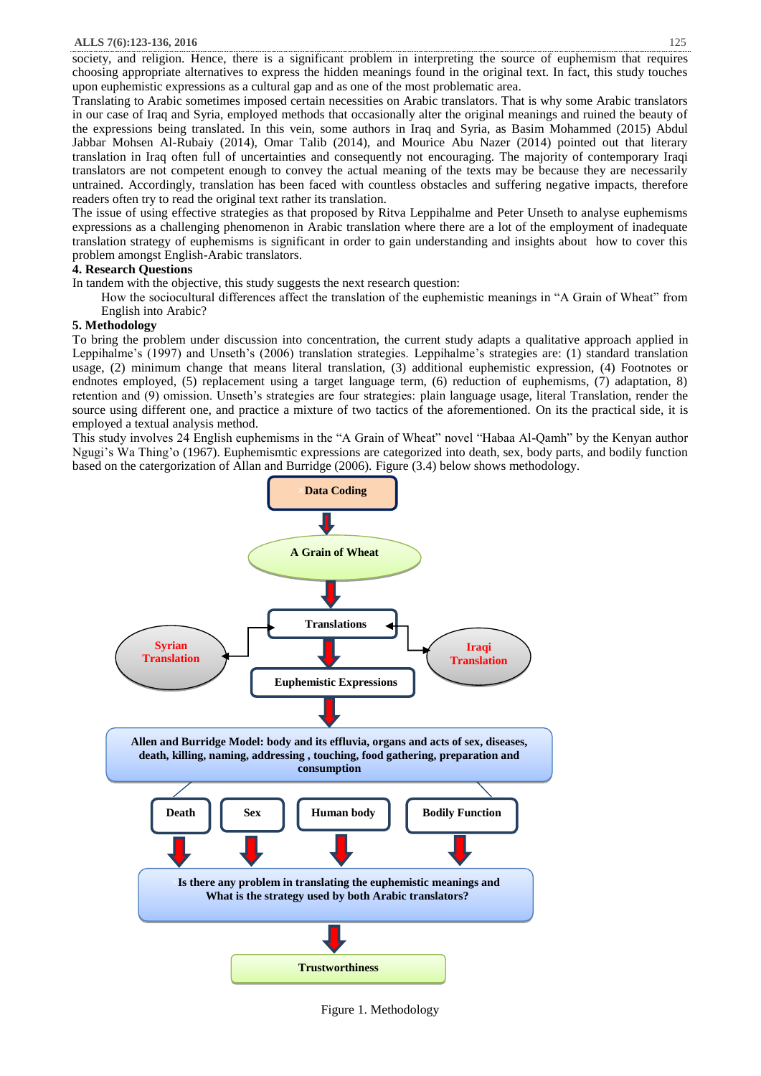Translating to Arabic sometimes imposed certain necessities on Arabic translators. That is why some Arabic translators in our case of Iraq and Syria, employed methods that occasionally alter the original meanings and ruined the beauty of the expressions being translated. In this vein, some authors in Iraq and Syria, as Basim Mohammed (2015) Abdul Jabbar Mohsen Al-Rubaiy (2014), Omar Talib (2014), and Mourice Abu Nazer (2014) pointed out that literary translation in Iraq often full of uncertainties and consequently not encouraging. The majority of contemporary Iraqi translators are not competent enough to convey the actual meaning of the texts may be because they are necessarily untrained. Accordingly, translation has been faced with countless obstacles and suffering negative impacts, therefore readers often try to read the original text rather its translation.

The issue of using effective strategies as that proposed by Ritva Leppihalme and Peter Unseth to analyse euphemisms expressions as a challenging phenomenon in Arabic translation where there are a lot of the employment of inadequate translation strategy of euphemisms is significant in order to gain understanding and insights about how to cover this problem amongst English-Arabic translators.

# **4. Research Questions**

In tandem with the objective, this study suggests the next research question:

How the sociocultural differences affect the translation of the euphemistic meanings in "A Grain of Wheat" from English into Arabic?

# **5. Methodology**

To bring the problem under discussion into concentration, the current study adapts a qualitative approach applied in Leppihalme's (1997) and Unseth's (2006) translation strategies. Leppihalme's strategies are: (1) standard translation usage, (2) minimum change that means literal translation, (3) additional euphemistic expression, (4) Footnotes or endnotes employed, (5) replacement using a target language term, (6) reduction of euphemisms, (7) adaptation, 8) retention and (9) omission. Unseth's strategies are four strategies: plain language usage, literal Translation, render the source using different one, and practice a mixture of two tactics of the aforementioned. On its the practical side, it is employed a textual analysis method.

This study involves 24 English euphemisms in the "A Grain of Wheat" novel "Habaa Al-Qamh" by the Kenyan author Ngugi's Wa Thing'o (1967). Euphemismtic expressions are categorized into death, sex, body parts, and bodily function based on the catergorization of Allan and Burridge (2006). Figure (3.4) below shows methodology.



Figure 1. Methodology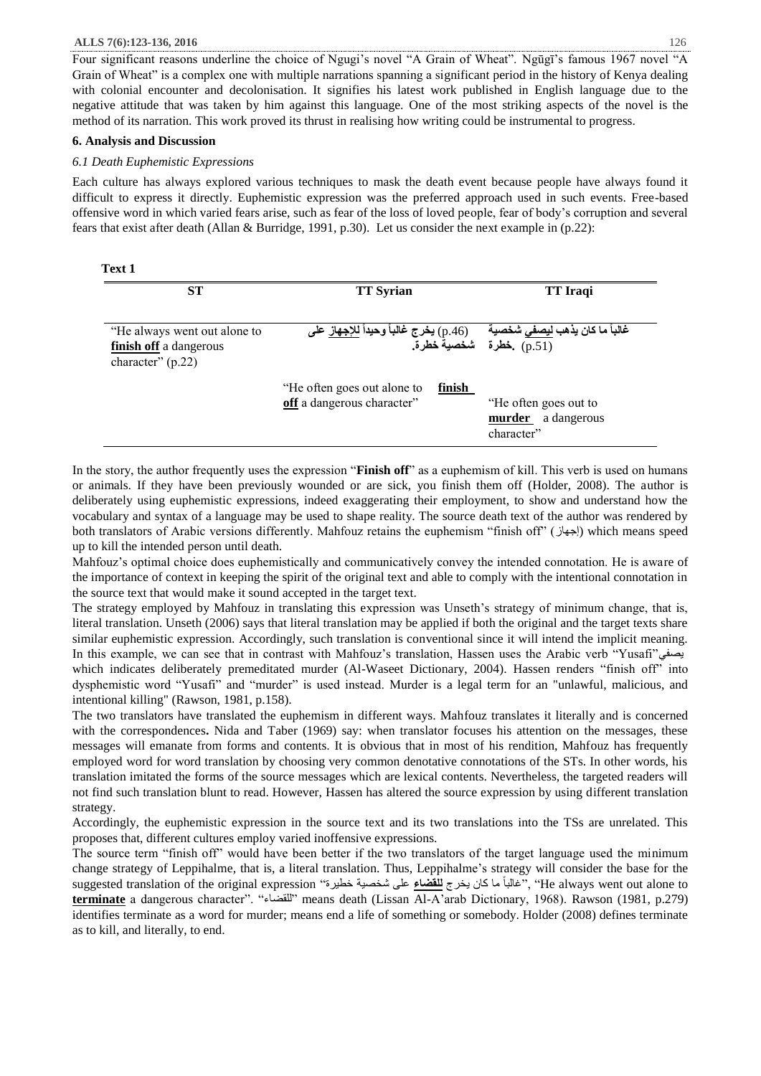Four significant reasons underline the choice of Ngugi's novel "A Grain of Wheat". Ngūgī's famous 1967 novel "A Grain of Wheat" is a complex one with multiple narrations spanning a significant period in the history of Kenya dealing with colonial encounter and decolonisation. It signifies his latest work published in English language due to the negative attitude that was taken by him against this language. One of the most striking aspects of the novel is the method of its narration. This work proved its thrust in realising how writing could be instrumental to progress.

#### **6. Analysis and Discussion**

#### *6.1 Death Euphemistic Expressions*

Each culture has always explored various techniques to mask the death event because people have always found it difficult to express it directly. Euphemistic expression was the preferred approach used in such events. Free-based offensive word in which varied fears arise, such as fear of the loss of loved people, fear of body's corruption and several fears that exist after death (Allan & Burridge, 1991, p.30). Let us consider the next example in (p.22):

| ٠<br>۰, |  |
|---------|--|
|---------|--|

| <b>ST</b>                                                                     | <b>TT Syrian</b>                                                    | <b>TT</b> Iraqi                                                  |
|-------------------------------------------------------------------------------|---------------------------------------------------------------------|------------------------------------------------------------------|
| "He always went out alone to<br>finish off a dangerous<br>character" $(p.22)$ |                                                                     |                                                                  |
|                                                                               | finish<br>"He often goes out alone to<br>off a dangerous character" | "He often goes out to<br><b>murder</b> a dangerous<br>character" |

In the story, the author frequently uses the expression "**Finish off**" as a euphemism of kill. This verb is used on humans or animals. If they have been previously wounded or are sick, you finish them off (Holder, 2008). The author is deliberately using euphemistic expressions, indeed exaggerating their employment, to show and understand how the vocabulary and syntax of a language may be used to shape reality. The source death text of the author was rendered by both translators of Arabic versions differently. Mahfouz retains the euphemism "finish off" (إجهاز (which means speed up to kill the intended person until death.

Mahfouz's optimal choice does euphemistically and communicatively convey the intended connotation. He is aware of the importance of context in keeping the spirit of the original text and able to comply with the intentional connotation in the source text that would make it sound accepted in the target text.

The strategy employed by Mahfouz in translating this expression was Unseth's strategy of minimum change, that is, literal translation. Unseth (2006) says that literal translation may be applied if both the original and the target texts share similar euphemistic expression. Accordingly, such translation is conventional since it will intend the implicit meaning. In this example, we can see that in contrast with Mahfouz's translation, Hassen uses the Arabic verb "Yusafi"يصفي which indicates deliberately premeditated murder (Al-Waseet Dictionary, 2004). Hassen renders "finish off" into dysphemistic word "Yusafi" and "murder" is used instead. Murder is a legal term for an "unlawful, malicious, and intentional killing" (Rawson, 1981, p.158).

The two translators have translated the euphemism in different ways. Mahfouz translates it literally and is concerned with the correspondences**.** Nida and Taber (1969) say: when translator focuses his attention on the messages, these messages will emanate from forms and contents. It is obvious that in most of his rendition, Mahfouz has frequently employed word for word translation by choosing very common denotative connotations of the STs. In other words, his translation imitated the forms of the source messages which are lexical contents. Nevertheless, the targeted readers will not find such translation blunt to read. However, Hassen has altered the source expression by using different translation strategy.

Accordingly, the euphemistic expression in the source text and its two translations into the TSs are unrelated. This proposes that, different cultures employ varied inoffensive expressions.

The source term "finish off" would have been better if the two translators of the target language used the minimum change strategy of Leppihalme, that is, a literal translation. Thus, Leppihalme's strategy will consider the base for the suggested translation of the original expression "خطيرة شخصية على **للقضاء** يخرج كان ما ًغالبا"," He always went out alone to **terminate** a dangerous character". "للقضاء "means death (Lissan Al-A'arab Dictionary, 1968). Rawson (1981, p.279) identifies terminate as a word for murder; means end a life of something or somebody. Holder (2008) defines terminate as to kill, and literally, to end.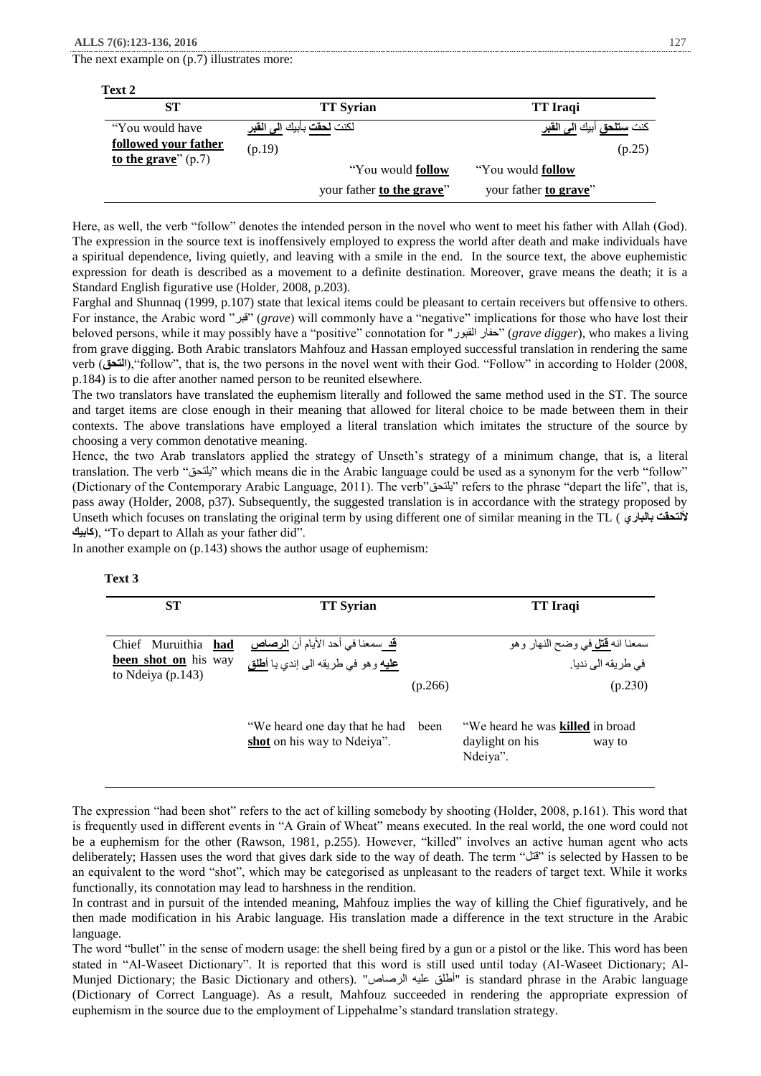The next example on (p.7) illustrates more:

| <b>ST</b>             | <b>TT Syrian</b>                                      | TT Iraqi                                           |
|-----------------------|-------------------------------------------------------|----------------------------------------------------|
| "You would have       | لكنت <mark>لحقت</mark> بأبيك <u>الى</u> ا <b>لقبر</b> | كنت <mark>ستلحق</mark> أبيك <mark>الى القبر</mark> |
| followed your father  | (p.19)                                                | (p.25)                                             |
| to the grave" $(p.7)$ | "You would follow"                                    | "You would <b>follow</b> "                         |
|                       | your father to the grave"                             | your father to grave"                              |

Here, as well, the verb "follow" denotes the intended person in the novel who went to meet his father with Allah (God). The expression in the source text is inoffensively employed to express the world after death and make individuals have a spiritual dependence, living quietly, and leaving with a smile in the end. In the source text, the above euphemistic expression for death is described as a movement to a definite destination. Moreover, grave means the death; it is a Standard English figurative use (Holder, 2008, p.203).

Farghal and Shunnaq (1999, p.107) state that lexical items could be pleasant to certain receivers but offensive to others. For instance, the Arabic word "قبر) "*grave*) will commonly have a "negative" implications for those who have lost their beloved persons, while it may possibly have a "positive" connotation for "القبور حفار) "*grave digger*), who makes a living from grave digging. Both Arabic translators Mahfouz and Hassan employed successful translation in rendering the same verb )**التحق**),"follow", that is, the two persons in the novel went with their God. "Follow" in according to Holder (2008, p.184) is to die after another named person to be reunited elsewhere.

The two translators have translated the euphemism literally and followed the same method used in the ST. The source and target items are close enough in their meaning that allowed for literal choice to be made between them in their contexts. The above translations have employed a literal translation which imitates the structure of the source by choosing a very common denotative meaning.

Hence, the two Arab translators applied the strategy of Unseth's strategy of a minimum change, that is, a literal translation. The verb "يلتحق "which means die in the Arabic language could be used as a synonym for the verb "follow" (Dictionary of the Contemporary Arabic Language, 2011). The verb"يلتحق "refers to the phrase "depart the life", that is, pass away (Holder, 2008, p37). Subsequently, the suggested translation is in accordance with the strategy proposed by Unseth which focuses on translating the original term by using different one of similar meaning in the TL ( **بالباري أللتحقت كابيك)**, "To depart to Allah as your father did".

In another example on (p.143) shows the author usage of euphemism:

| <b>ST</b>                                                        | <b>TT</b> Syrian                                                                                 |         | <b>TT</b> Iraqi                                                               |
|------------------------------------------------------------------|--------------------------------------------------------------------------------------------------|---------|-------------------------------------------------------------------------------|
| Chief Muruithia had<br>been shot on his way<br>to Ndeiya (p.143) | <mark>قد</mark> سمعنا في أحد الأيام أن <mark>الرصاص</mark><br>عليه وهو في طريقه الى إندي يا أطلق | (p.266) | سمعنا انه <mark>قتل</mark> في وضح النهار وهو<br>في طريقه الى نديا.<br>(p.230) |
|                                                                  | "We heard one day that he had<br>shot on his way to Ndeiya".                                     | been    | "We heard he was killed in broad<br>daylight on his<br>way to<br>Ndeiya".     |

The expression "had been shot" refers to the act of killing somebody by shooting (Holder, 2008, p.161). This word that is frequently used in different events in "A Grain of Wheat" means executed. In the real world, the one word could not be a euphemism for the other (Rawson, 1981, p.255). However, "killed" involves an active human agent who acts deliberately; Hassen uses the word that gives dark side to the way of death. The term "قتل "is selected by Hassen to be an equivalent to the word "shot", which may be categorised as unpleasant to the readers of target text. While it works functionally, its connotation may lead to harshness in the rendition.

In contrast and in pursuit of the intended meaning, Mahfouz implies the way of killing the Chief figuratively, and he then made modification in his Arabic language. His translation made a difference in the text structure in the Arabic language.

The word "bullet" in the sense of modern usage: the shell being fired by a gun or a pistol or the like. This word has been stated in "Al-Waseet Dictionary". It is reported that this word is still used until today (Al-Waseet Dictionary; Al-Munjed Dictionary; the Basic Dictionary and others). "الرصاص عليه أطلق "is standard phrase in the Arabic language (Dictionary of Correct Language). As a result, Mahfouz succeeded in rendering the appropriate expression of euphemism in the source due to the employment of Lippehalme's standard translation strategy.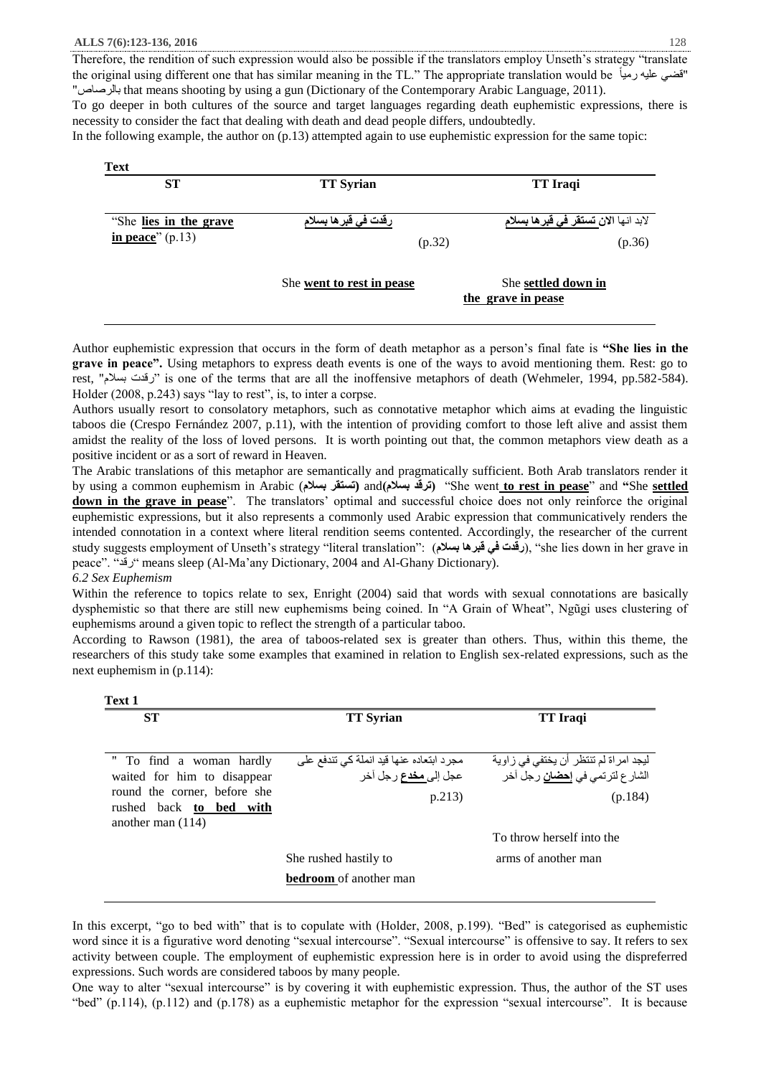To go deeper in both cultures of the source and target languages regarding death euphemistic expressions, there is necessity to consider the fact that dealing with death and dead people differs, undoubtedly.

In the following example, the author on (p.13) attempted again to use euphemistic expression for the same topic:

| رقدت ف <i>ي</i> قبر ها بسلام | لابد انها الا <i>ن</i> ت <b>ستقر ف<i>ي</i> قبر ها بسلام</b> |
|------------------------------|-------------------------------------------------------------|
|                              |                                                             |
| (p.32)                       | (p.36)                                                      |
| She went to rest in pease    | She settled down in                                         |
|                              |                                                             |

Author euphemistic expression that occurs in the form of death metaphor as a person's final fate is **"She lies in the grave in peace".** Using metaphors to express death events is one of the ways to avoid mentioning them. Rest: go to rest, "بسالم رقدت "is one of the terms that are all the inoffensive metaphors of death (Wehmeler, 1994, pp.582-584). Holder (2008, p.243) says "lay to rest", is, to inter a corpse.

Authors usually resort to consolatory metaphors, such as connotative metaphor which aims at evading the linguistic taboos die (Crespo Fernández 2007, p.11), with the intention of providing comfort to those left alive and assist them amidst the reality of the loss of loved persons. It is worth pointing out that, the common metaphors view death as a positive incident or as a sort of reward in Heaven.

The Arabic translations of this metaphor are semantically and pragmatically sufficient. Both Arab translators render it by using a common euphemism in Arabic (**بسالم تستقر (**and**)بسالم ترقد**" **)**She went **to rest in pease**" and **"**She **settled down in the grave in pease**". The translators' optimal and successful choice does not only reinforce the original euphemistic expressions, but it also represents a commonly used Arabic expression that communicatively renders the intended connotation in a context where literal rendition seems contented. Accordingly, the researcher of the current study suggests employment of Unseth's strategy "literal translation": )**بسالم قبرها في رقدت**)," she lies down in her grave in peace". "رقد "means sleep (Al-Ma'any Dictionary, 2004 and Al-Ghany Dictionary).

# *6.2 Sex Euphemism*

Within the reference to topics relate to sex, Enright (2004) said that words with sexual connotations are basically dysphemistic so that there are still new euphemisms being coined. In "A Grain of Wheat", Ngũgi uses clustering of euphemisms around a given topic to reflect the strength of a particular taboo.

According to Rawson (1981), the area of taboos-related sex is greater than others. Thus, within this theme, the researchers of this study take some examples that examined in relation to English sex-related expressions, such as the next euphemism in (p.114):

| <b>ST</b>                                                                      | <b>TT Syrian</b>                         | TT Iraqi                                |
|--------------------------------------------------------------------------------|------------------------------------------|-----------------------------------------|
| " To find a woman hardly                                                       | مجرد ابتعاده عنها قيد انملة كي تندفع على | ليجد امراة لم تنتظر أن يختفي في زاوية   |
| waited for him to disappear                                                    | عجل إلى <b>مخدع</b> رجل آخر              | الشار ع لترتمي في إ <b>حضان</b> رجل آخر |
| round the corner, before she<br>rushed back to bed with<br>another man $(114)$ | p.213)                                   | (p.184)                                 |
|                                                                                |                                          | To throw herself into the               |
|                                                                                | She rushed hastily to                    | arms of another man                     |
|                                                                                | <b>bedroom</b> of another man            |                                         |

In this excerpt, "go to bed with" that is to copulate with (Holder, 2008, p.199). "Bed" is categorised as euphemistic word since it is a figurative word denoting "sexual intercourse". "Sexual intercourse" is offensive to say. It refers to sex activity between couple. The employment of euphemistic expression here is in order to avoid using the dispreferred expressions. Such words are considered taboos by many people.

One way to alter "sexual intercourse" is by covering it with euphemistic expression. Thus, the author of the ST uses "bed" (p.114), (p.112) and (p.178) as a euphemistic metaphor for the expression "sexual intercourse". It is because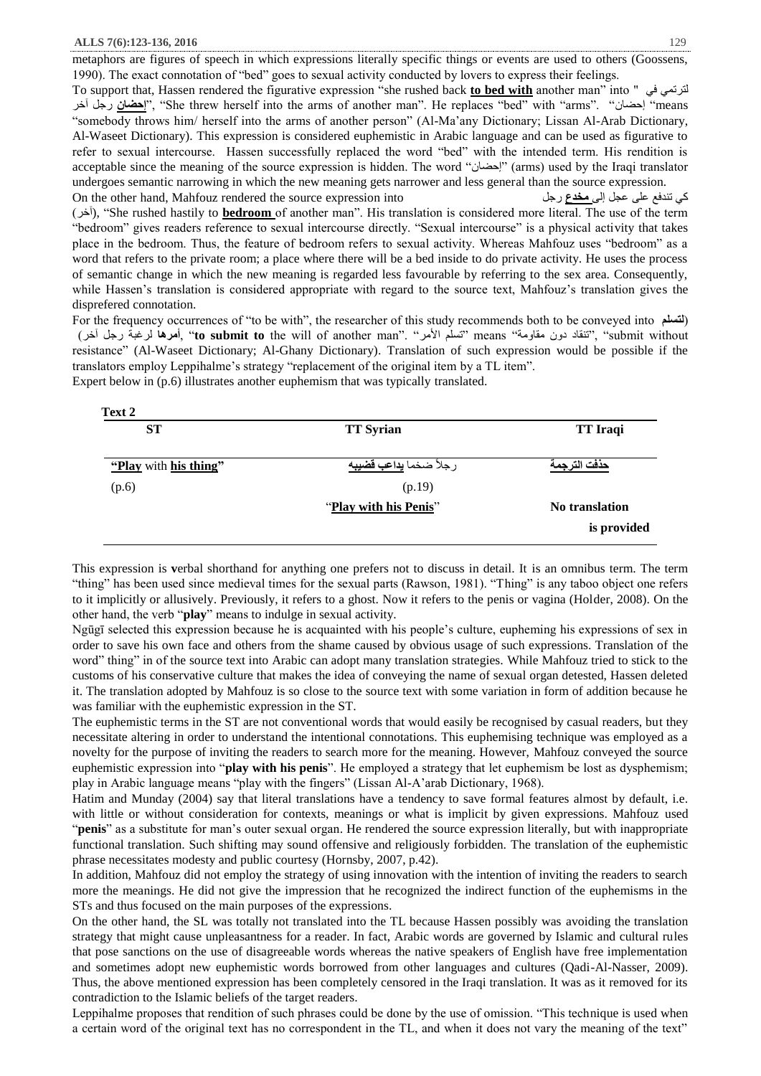metaphors are figures of speech in which expressions literally specific things or events are used to others (Goossens, 1990). The exact connotation of "bed" goes to sexual activity conducted by lovers to express their feelings. To support that, Hassen rendered the figurative expression "she rushed back **to bed with** another man" into " في لترتمي آخر رجل **إحضان**"," She threw herself into the arms of another man". He replaces "bed" with "arms". "إحضان" means "somebody throws him/ herself into the arms of another person" (Al-Ma'any Dictionary; Lissan Al-Arab Dictionary, Al-Waseet Dictionary). This expression is considered euphemistic in Arabic language and can be used as figurative to refer to sexual intercourse. Hassen successfully replaced the word "bed" with the intended term. His rendition is acceptable since the meaning of the source expression is hidden. The word "إحضان" (arms) used by the Iraqi translator undergoes semantic narrowing in which the new meaning gets narrower and less general than the source expression. On the other hand, Mahfouz rendered the source expression into رجل **مخدع** إلى عجل على تندفع كي )آخر(," She rushed hastily to **bedroom** of another man". His translation is considered more literal. The use of the term "bedroom" gives readers reference to sexual intercourse directly. "Sexual intercourse" is a physical activity that takes place in the bedroom. Thus, the feature of bedroom refers to sexual activity. Whereas Mahfouz uses "bedroom" as a word that refers to the private room; a place where there will be a bed inside to do private activity. He uses the process of semantic change in which the new meaning is regarded less favourable by referring to the sex area. Consequently, while Hassen's translation is considered appropriate with regard to the source text, Mahfouz's translation gives the disprefered connotation.

For the frequency occurrences of "to be with", the researcher of this study recommends both to be conveyed into **لتسلم**) )آخر رجل لرغبة **أمرها**," **to submit to** the will of another man". "األمر تسلم "means "مقاومة دون تنقاد"," submit without resistance" (Al-Waseet Dictionary; Al-Ghany Dictionary). Translation of such expression would be possible if the translators employ Leppihalme's strategy "replacement of the original item by a TL item". Expert below in (p.6) illustrates another euphemism that was typically translated.

| <b>ST</b>             | <b>TT Syrian</b>             | <b>TT</b> Iraqi |
|-----------------------|------------------------------|-----------------|
| "Play with his thing" | رجلأ ضخما <b>يداعب قضيبه</b> | حذفت الترجمة    |
| (p.6)                 | (p.19)                       |                 |
|                       | "Play with his Penis"        | No translation  |
|                       |                              | is provided     |

This expression is **v**erbal shorthand for anything one prefers not to discuss in detail. It is an omnibus term. The term "thing" has been used since medieval times for the sexual parts (Rawson, 1981). "Thing" is any taboo object one refers to it implicitly or allusively. Previously, it refers to a ghost. Now it refers to the penis or vagina (Holder, 2008). On the other hand, the verb "**play**" means to indulge in sexual activity.

Ngūgī selected this expression because he is acquainted with his people's culture, eupheming his expressions of sex in order to save his own face and others from the shame caused by obvious usage of such expressions. Translation of the word" thing" in of the source text into Arabic can adopt many translation strategies. While Mahfouz tried to stick to the customs of his conservative culture that makes the idea of conveying the name of sexual organ detested, Hassen deleted it. The translation adopted by Mahfouz is so close to the source text with some variation in form of addition because he was familiar with the euphemistic expression in the ST.

The euphemistic terms in the ST are not conventional words that would easily be recognised by casual readers, but they necessitate altering in order to understand the intentional connotations. This euphemising technique was employed as a novelty for the purpose of inviting the readers to search more for the meaning. However, Mahfouz conveyed the source euphemistic expression into "**play with his penis**". He employed a strategy that let euphemism be lost as dysphemism; play in Arabic language means "play with the fingers" (Lissan Al-A'arab Dictionary, 1968).

Hatim and Munday (2004) say that literal translations have a tendency to save formal features almost by default, i.e. with little or without consideration for contexts, meanings or what is implicit by given expressions. Mahfouz used "**penis**" as a substitute for man's outer sexual organ. He rendered the source expression literally, but with inappropriate functional translation. Such shifting may sound offensive and religiously forbidden. The translation of the euphemistic phrase necessitates modesty and public courtesy (Hornsby, 2007, p.42).

In addition, Mahfouz did not employ the strategy of using innovation with the intention of inviting the readers to search more the meanings. He did not give the impression that he recognized the indirect function of the euphemisms in the STs and thus focused on the main purposes of the expressions.

On the other hand, the SL was totally not translated into the TL because Hassen possibly was avoiding the translation strategy that might cause unpleasantness for a reader. In fact, Arabic words are governed by Islamic and cultural rules that pose sanctions on the use of disagreeable words whereas the native speakers of English have free implementation and sometimes adopt new euphemistic words borrowed from other languages and cultures (Qadi-Al-Nasser, 2009). Thus, the above mentioned expression has been completely censored in the Iraqi translation. It was as it removed for its contradiction to the Islamic beliefs of the target readers.

Leppihalme proposes that rendition of such phrases could be done by the use of omission. "This technique is used when a certain word of the original text has no correspondent in the TL, and when it does not vary the meaning of the text"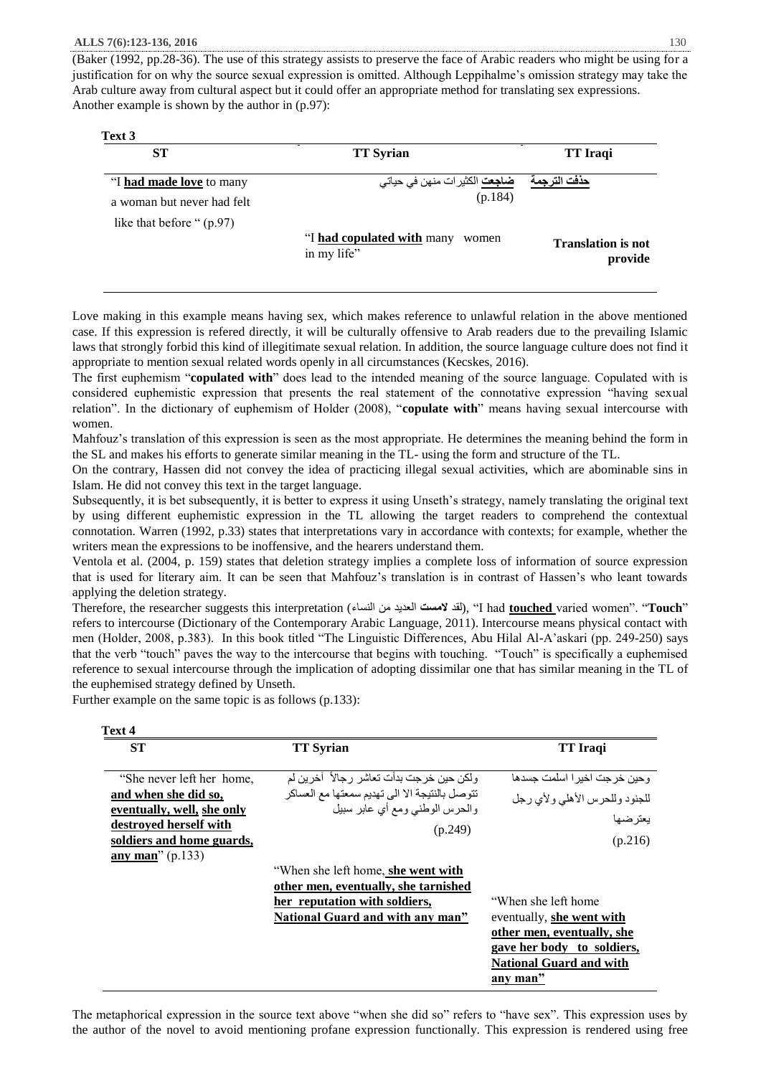(Baker (1992, pp.28-36). The use of this strategy assists to preserve the face of Arabic readers who might be using for a justification for on why the source sexual expression is omitted. Although Leppihalme's omission strategy may take the Arab culture away from cultural aspect but it could offer an appropriate method for translating sex expressions. Another example is shown by the author in (p.97):

| <b>ST</b>                   | <b>TT</b> Syrian                                   | <b>TT</b> Iraqi                      |
|-----------------------------|----------------------------------------------------|--------------------------------------|
| "I had made love to many    | <mark>ضاجعت</mark> الكثير ات منهن في حياتي         | حذفت الترجمة                         |
| a woman but never had felt  | (p.184)                                            |                                      |
| like that before " $(p.97)$ |                                                    |                                      |
|                             | "I had copulated with many<br>women<br>in my life" | <b>Translation is not</b><br>provide |

Love making in this example means having sex, which makes reference to unlawful relation in the above mentioned case. If this expression is refered directly, it will be culturally offensive to Arab readers due to the prevailing Islamic laws that strongly forbid this kind of illegitimate sexual relation. In addition, the source language culture does not find it appropriate to mention sexual related words openly in all circumstances (Kecskes, 2016).

The first euphemism "**copulated with**" does lead to the intended meaning of the source language. Copulated with is considered euphemistic expression that presents the real statement of the connotative expression "having sexual relation". In the dictionary of euphemism of Holder (2008), "**copulate with**" means having sexual intercourse with women.

Mahfouz's translation of this expression is seen as the most appropriate. He determines the meaning behind the form in the SL and makes his efforts to generate similar meaning in the TL- using the form and structure of the TL.

On the contrary, Hassen did not convey the idea of practicing illegal sexual activities, which are abominable sins in Islam. He did not convey this text in the target language.

Subsequently, it is bet subsequently, it is better to express it using Unseth's strategy, namely translating the original text by using different euphemistic expression in the TL allowing the target readers to comprehend the contextual connotation. Warren (1992, p.33) states that interpretations vary in accordance with contexts; for example, whether the writers mean the expressions to be inoffensive, and the hearers understand them.

Ventola et al. (2004, p. 159) states that deletion strategy implies a complete loss of information of source expression that is used for literary aim. It can be seen that Mahfouz's translation is in contrast of Hassen's who leant towards applying the deletion strategy.

Therefore, the researcher suggests this interpretation (النساء من العديد **المست** لقد(," I had **touched** varied women". "**Touch**" refers to intercourse (Dictionary of the Contemporary Arabic Language, 2011). Intercourse means physical contact with men (Holder, 2008, p.383). In this book titled "The Linguistic Differences, Abu Hilal Al-A'askari (pp. 249-250) says that the verb "touch" paves the way to the intercourse that begins with touching. "Touch" is specifically a euphemised reference to sexual intercourse through the implication of adopting dissimilar one that has similar meaning in the TL of the euphemised strategy defined by Unseth.

Further example on the same topic is as follows (p.133):

| <b>ST</b>                       | <b>TT Syrian</b>                               | <b>TT</b> Iraqi                |
|---------------------------------|------------------------------------------------|--------------------------------|
| "She never left her home,       | ولكن حين خرجت بدأت تعاشر رجالاً ۖ آخرين لم     | وحين خرجت اخيرا اسلمت جسدها    |
| and when she did so,            | تتوصل بالنتيجة الا الى تهديم سمعتها مع العساكر | للجنود وللحرس الأهلي ولأى رجل  |
| eventually, well, she only      | والحرس الوطني ومع أي عابر سبيل                 |                                |
| destroyed herself with          | (p.249)                                        | يعترضها                        |
| soldiers and home guards,       |                                                | (p.216)                        |
| $\frac{\text{any man}'}{p.133}$ |                                                |                                |
|                                 | "When she left home, she went with             |                                |
|                                 | other men, eventually, she tarnished           |                                |
|                                 | her reputation with soldiers,                  | "When she left home"           |
|                                 | National Guard and with any man"               | eventually, she went with      |
|                                 |                                                | other men, eventually, she     |
|                                 |                                                | gave her body to soldiers,     |
|                                 |                                                | <b>National Guard and with</b> |
|                                 |                                                | any man"                       |

The metaphorical expression in the source text above "when she did so" refers to "have sex". This expression uses by the author of the novel to avoid mentioning profane expression functionally. This expression is rendered using free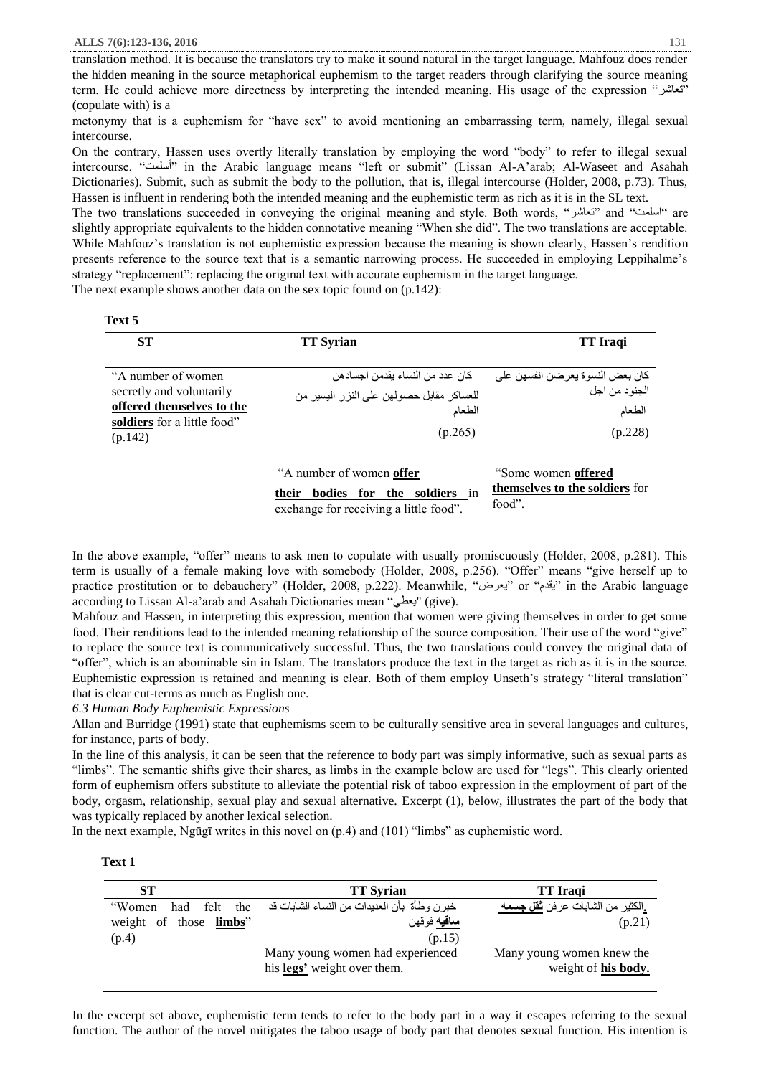translation method. It is because the translators try to make it sound natural in the target language. Mahfouz does render the hidden meaning in the source metaphorical euphemism to the target readers through clarifying the source meaning term. He could achieve more directness by interpreting the intended meaning. His usage of the expression "تعاشر " (copulate with) is a

metonymy that is a euphemism for "have sex" to avoid mentioning an embarrassing term, namely, illegal sexual intercourse.

On the contrary, Hassen uses overtly literally translation by employing the word "body" to refer to illegal sexual intercourse. "أسلمت "in the Arabic language means "left or submit" (Lissan Al-A'arab; Al-Waseet and Asahah Dictionaries). Submit, such as submit the body to the pollution, that is, illegal intercourse (Holder, 2008, p.73). Thus, Hassen is influent in rendering both the intended meaning and the euphemistic term as rich as it is in the SL text.

The two translations succeeded in conveying the original meaning and style. Both words, "تعاشر "and "اسلمت "are slightly appropriate equivalents to the hidden connotative meaning "When she did". The two translations are acceptable. While Mahfouz's translation is not euphemistic expression because the meaning is shown clearly, Hassen's rendition presents reference to the source text that is a semantic narrowing process. He succeeded in employing Leppihalme's strategy "replacement": replacing the original text with accurate euphemism in the target language.

The next example shows another data on the sex topic found on (p.142):

| Text 5 |  |
|--------|--|
|        |  |

| <b>ST</b>                                                                                                              | <b>TT</b> Syrian                                                                                                                | <b>TT</b> Iraqi                                                          |
|------------------------------------------------------------------------------------------------------------------------|---------------------------------------------------------------------------------------------------------------------------------|--------------------------------------------------------------------------|
| "A number of women"<br>secretly and voluntarily<br>offered themselves to the<br>soldiers for a little food"<br>(p.142) | كان عدد من النساء بقدمن اجسادهن<br>للعساكر مقابل حصولهن على النزر اليسير من<br>الطعام<br>(p.265)                                | كان بعض النسو ة يعر ضن انفسهن على<br>الجنو د من اجل<br>الطعام<br>(p.228) |
|                                                                                                                        | "A number of women <b>offer</b> "<br>soldiers in<br><b>bodies</b><br>for the<br>their<br>exchange for receiving a little food". | "Some women <b>offered</b> "<br>themselves to the soldiers for<br>food". |

In the above example, "offer" means to ask men to copulate with usually promiscuously (Holder, 2008, p.281). This term is usually of a female making love with somebody (Holder, 2008, p.256). "Offer" means "give herself up to practice prostitution or to debauchery" (Holder, 2008, p.222). Meanwhile, "يعرض "or "يقدم "in the Arabic language according to Lissan Al-a'arab and Asahah Dictionaries mean "يعطى" (give).

Mahfouz and Hassen, in interpreting this expression, mention that women were giving themselves in order to get some food. Their renditions lead to the intended meaning relationship of the source composition. Their use of the word "give" to replace the source text is communicatively successful. Thus, the two translations could convey the original data of "offer", which is an abominable sin in Islam. The translators produce the text in the target as rich as it is in the source. Euphemistic expression is retained and meaning is clear. Both of them employ Unseth's strategy "literal translation" that is clear cut-terms as much as English one.

*6.3 Human Body Euphemistic Expressions* 

Allan and Burridge (1991) state that euphemisms seem to be culturally sensitive area in several languages and cultures, for instance, parts of body.

In the line of this analysis, it can be seen that the reference to body part was simply informative, such as sexual parts as "limbs". The semantic shifts give their shares, as limbs in the example below are used for "legs". This clearly oriented form of euphemism offers substitute to alleviate the potential risk of taboo expression in the employment of part of the body, orgasm, relationship, sexual play and sexual alternative. Excerpt (1), below, illustrates the part of the body that was typically replaced by another lexical selection.

In the next example, Ngūgī writes in this novel on (p.4) and (101) "limbs" as euphemistic word.

| Fext<br>1 |
|-----------|
|           |

| ST                             | <b>TT Syrian</b>                              | <b>TT</b> Iraqi                         |
|--------------------------------|-----------------------------------------------|-----------------------------------------|
| had felt the<br>"Women         | خبر ن وطأة  بأن العديدات من النساء الشابات قد | .الكثير من الشابات عرفن <b>ثقل جسمه</b> |
| weight of those <b>limbs</b> " | <mark>ساقيه</mark> فوقهن                      | (p.21)                                  |
| (p.4)                          | (p.15)                                        |                                         |
|                                | Many young women had experienced              | Many young women knew the               |
|                                | his legs' weight over them.                   | weight of his body.                     |

In the excerpt set above, euphemistic term tends to refer to the body part in a way it escapes referring to the sexual function. The author of the novel mitigates the taboo usage of body part that denotes sexual function. His intention is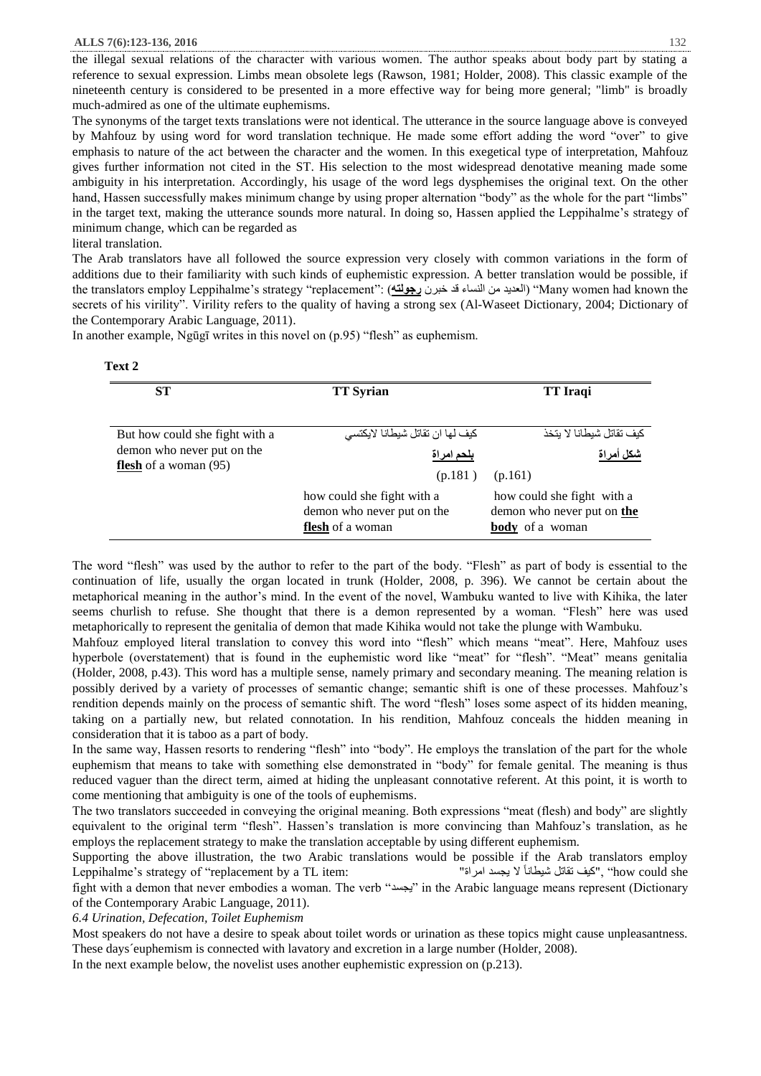the illegal sexual relations of the character with various women. The author speaks about body part by stating a reference to sexual expression. Limbs mean obsolete legs (Rawson, 1981; Holder, 2008). This classic example of the nineteenth century is considered to be presented in a more effective way for being more general; "limb" is broadly much-admired as one of the ultimate euphemisms.

The synonyms of the target texts translations were not identical. The utterance in the source language above is conveyed by Mahfouz by using word for word translation technique. He made some effort adding the word "over" to give emphasis to nature of the act between the character and the women. In this exegetical type of interpretation, Mahfouz gives further information not cited in the ST. His selection to the most widespread denotative meaning made some ambiguity in his interpretation. Accordingly, his usage of the word legs dysphemises the original text. On the other hand, Hassen successfully makes minimum change by using proper alternation "body" as the whole for the part "limbs" in the target text, making the utterance sounds more natural. In doing so, Hassen applied the Leppihalme's strategy of minimum change, which can be regarded as

literal translation.

 $T_{\alpha x}$ <sup>1</sup>

The Arab translators have all followed the source expression very closely with common variations in the form of additions due to their familiarity with such kinds of euphemistic expression. A better translation would be possible, if the translators employ Leppihalme's strategy "replacement": (**رجولته** خبرن قد النساء من العديد" )Many women had known the secrets of his virility". Virility refers to the quality of having a strong sex (Al-Waseet Dictionary, 2004; Dictionary of the Contemporary Arabic Language, 2011).

In another example, Ngūgī writes in this novel on (p.95) "flesh" as euphemism.

| <b>ST</b>                                                    | <b>TT Syrian</b>                                                                    | <b>TT</b> Iraqi                                                             |
|--------------------------------------------------------------|-------------------------------------------------------------------------------------|-----------------------------------------------------------------------------|
| But how could she fight with a                               | كيف لها ان تقاتل شيطانا لايكتسى                                                     | كيف تقاتل شيطانا لا يتخذ                                                    |
| demon who never put on the<br><b>flesh</b> of a woman $(95)$ | <u>بلحم امراة</u>                                                                   | شكل أمراة                                                                   |
|                                                              | (p.181)                                                                             | (p.161)                                                                     |
|                                                              | how could she fight with a<br>demon who never put on the<br><b>flesh</b> of a woman | how could she fight with a<br>demon who never put on the<br>body of a woman |

The word "flesh" was used by the author to refer to the part of the body. "Flesh" as part of body is essential to the continuation of life, usually the organ located in trunk (Holder, 2008, p. 396). We cannot be certain about the metaphorical meaning in the author's mind. In the event of the novel, Wambuku wanted to live with Kihika, the later seems churlish to refuse. She thought that there is a demon represented by a woman. "Flesh" here was used metaphorically to represent the genitalia of demon that made Kihika would not take the plunge with Wambuku.

Mahfouz employed literal translation to convey this word into "flesh" which means "meat". Here, Mahfouz uses hyperbole (overstatement) that is found in the euphemistic word like "meat" for "flesh". "Meat" means genitalia (Holder, 2008, p.43). This word has a multiple sense, namely primary and secondary meaning. The meaning relation is possibly derived by a variety of processes of semantic change; semantic shift is one of these processes. Mahfouz's rendition depends mainly on the process of semantic shift. The word "flesh" loses some aspect of its hidden meaning, taking on a partially new, but related connotation. In his rendition, Mahfouz conceals the hidden meaning in consideration that it is taboo as a part of body.

In the same way, Hassen resorts to rendering "flesh" into "body". He employs the translation of the part for the whole euphemism that means to take with something else demonstrated in "body" for female genital. The meaning is thus reduced vaguer than the direct term, aimed at hiding the unpleasant connotative referent. At this point, it is worth to come mentioning that ambiguity is one of the tools of euphemisms.

The two translators succeeded in conveying the original meaning. Both expressions "meat (flesh) and body" are slightly equivalent to the original term "flesh". Hassen's translation is more convincing than Mahfouz's translation, as he employs the replacement strategy to make the translation acceptable by using different euphemism.

Supporting the above illustration, the two Arabic translations would be possible if the Arab translators employ Leppihalme's strategy of "replacement by a TL item: "اميف تقاتل شيطاناً لا يجسد امراة له يبتله المعناة تقاتل شيطانا ت fight with a demon that never embodies a woman. The verb "يجسد "in the Arabic language means represent (Dictionary of the Contemporary Arabic Language, 2011).

*6.4 Urination, Defecation, Toilet Euphemism*

Most speakers do not have a desire to speak about toilet words or urination as these topics might cause unpleasantness. These days´euphemism is connected with lavatory and excretion in a large number (Holder, 2008).

In the next example below, the novelist uses another euphemistic expression on (p.213).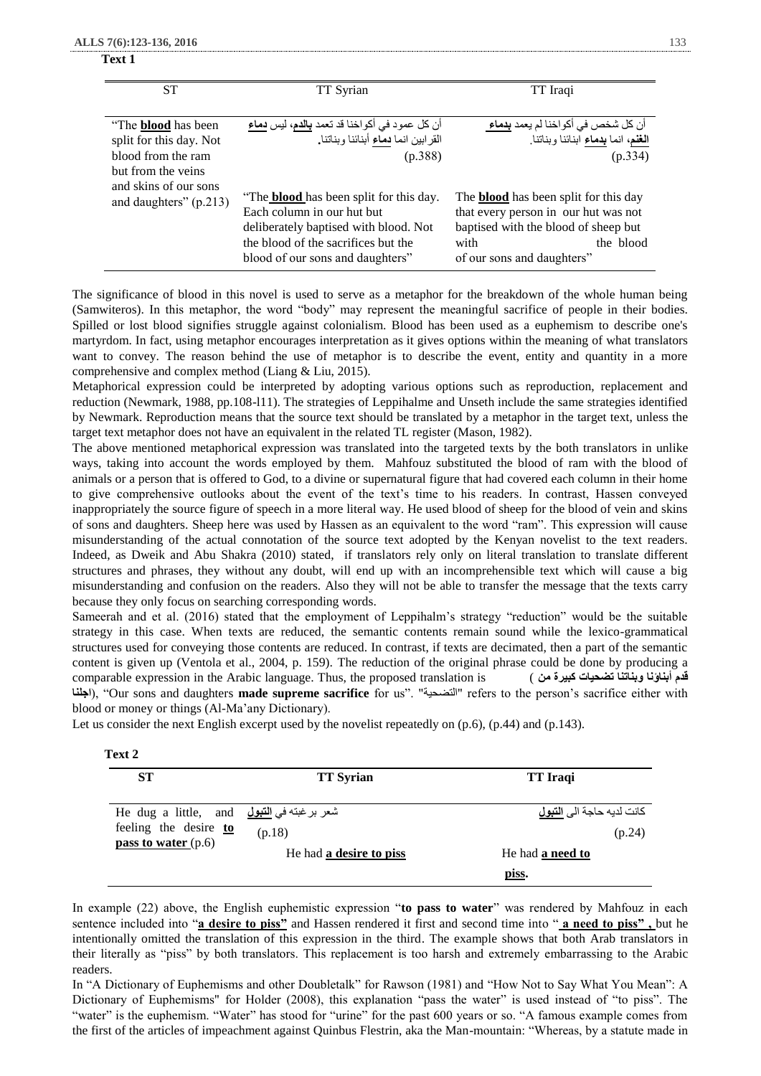#### **Text 1**

| <b>ST</b>                                                                                         | TT Syrian                                                                                                                                                                                        | TT Iraqi                                                                                                                                                                        |
|---------------------------------------------------------------------------------------------------|--------------------------------------------------------------------------------------------------------------------------------------------------------------------------------------------------|---------------------------------------------------------------------------------------------------------------------------------------------------------------------------------|
| "The <b>blood</b> has been<br>split for this day. Not<br>blood from the ram<br>but from the veins | أن كل عمود في أكواخنا قد تعمد <b>بالدم،</b> ليس <b>دماء</b><br>القرابين انما دماء أبنائنا وبناتنا.<br>(p.388)                                                                                    | أن كل شخص في أكواخنا لم يعمد <u>ب<b>دماء</b> </u><br>ا <b>لغن</b> م، انما بدماء ابنائنا وبناتنا.<br>(p.334)                                                                     |
| and skins of our sons<br>and daughters" (p.213)                                                   | "The <b>blood</b> has been split for this day.<br>Each column in our hut but<br>deliberately baptised with blood. Not<br>the blood of the sacrifices but the<br>blood of our sons and daughters" | The <b>blood</b> has been split for this day<br>that every person in our hut was not<br>baptised with the blood of sheep but<br>the blood<br>with<br>of our sons and daughters" |

The significance of blood in this novel is used to serve as a metaphor for the breakdown of the whole human being (Samwiteros). In this metaphor, the word "body" may represent the meaningful sacrifice of people in their bodies. Spilled or lost blood signifies struggle against colonialism. Blood has been used as a euphemism to describe one's martyrdom. In fact, using metaphor encourages interpretation as it gives options within the meaning of what translators want to convey. The reason behind the use of metaphor is to describe the event, entity and quantity in a more comprehensive and complex method (Liang & Liu, 2015).

Metaphorical expression could be interpreted by adopting various options such as reproduction, replacement and reduction (Newmark, 1988, pp.108-l11). The strategies of Leppihalme and Unseth include the same strategies identified by Newmark. Reproduction means that the source text should be translated by a metaphor in the target text, unless the target text metaphor does not have an equivalent in the related TL register (Mason, 1982).

The above mentioned metaphorical expression was translated into the targeted texts by the both translators in unlike ways, taking into account the words employed by them. Mahfouz substituted the blood of ram with the blood of animals or a person that is offered to God, to a divine or supernatural figure that had covered each column in their home to give comprehensive outlooks about the event of the text's time to his readers. In contrast, Hassen conveyed inappropriately the source figure of speech in a more literal way. He used blood of sheep for the blood of vein and skins of sons and daughters. Sheep here was used by Hassen as an equivalent to the word "ram". This expression will cause misunderstanding of the actual connotation of the source text adopted by the Kenyan novelist to the text readers. Indeed, as Dweik and Abu Shakra (2010) stated, if translators rely only on literal translation to translate different structures and phrases, they without any doubt, will end up with an incomprehensible text which will cause a big misunderstanding and confusion on the readers. Also they will not be able to transfer the message that the texts carry because they only focus on searching corresponding words.

Sameerah and et al. (2016) stated that the employment of Leppihalm's strategy "reduction" would be the suitable strategy in this case. When texts are reduced, the semantic contents remain sound while the lexico-grammatical structures used for conveying those contents are reduced. In contrast, if texts are decimated, then a part of the semantic content is given up (Ventola et al., 2004, p. 159). The reduction of the original phrase could be done by producing a comparable expression in the Arabic language. Thus, the proposed translation is ( **من كبيرة تضحيات وبناتنا أبناؤنا قدم اجلنا**(," Our sons and daughters **made supreme sacrifice** for us". "التضحية "refers to the person's sacrifice either with blood or money or things (Al-Ma'any Dictionary).

Let us consider the next English excerpt used by the novelist repeatedly on  $(p.6)$ ,  $(p.44)$  and  $(p.143)$ .

| <b>ST</b>                                  | <b>TT Syrian</b>        | <b>TT</b> Iraqi                        |
|--------------------------------------------|-------------------------|----------------------------------------|
| He dug a little, and اشعر برغبته في التبول |                         | كانت لديه حاجة الى <mark>التبول</mark> |
| feeling the desire to                      | (p.18)                  | (p.24)                                 |
| pass to water $(p.6)$                      | He had a desire to piss | He had <b>a need to</b>                |
|                                            |                         | piss.                                  |

In example (22) above, the English euphemistic expression "**to pass to water**" was rendered by Mahfouz in each sentence included into "**a desire to piss"** and Hassen rendered it first and second time into " **a need to piss" ,** but he intentionally omitted the translation of this expression in the third. The example shows that both Arab translators in their literally as "piss" by both translators. This replacement is too harsh and extremely embarrassing to the Arabic readers.

In "A Dictionary of Euphemisms and other Doubletalk" for Rawson (1981) and "How Not to Say What You Mean": A Dictionary of Euphemisms" for Holder (2008), this explanation "pass the water" is used instead of "to piss". The "water" is the euphemism. "Water" has stood for "urine" for the past 600 years or so. "A famous example comes from the first of the articles of impeachment against Quinbus Flestrin, aka the Man-mountain: "Whereas, by a statute made in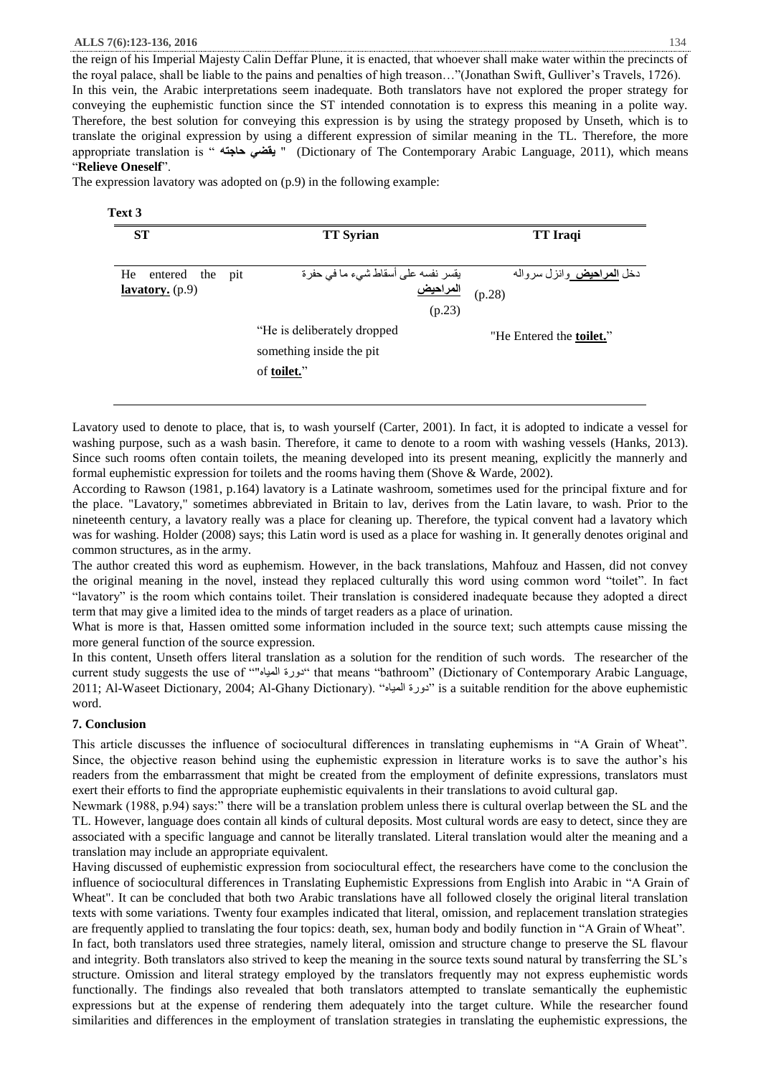the reign of his Imperial Majesty Calin Deffar Plune, it is enacted, that whoever shall make water within the precincts of the royal palace, shall be liable to the pains and penalties of high treason…"(Jonathan Swift, Gulliver's Travels, 1726). In this vein, the Arabic interpretations seem inadequate. Both translators have not explored the proper strategy for conveying the euphemistic function since the ST intended connotation is to express this meaning in a polite way. Therefore, the best solution for conveying this expression is by using the strategy proposed by Unseth, which is to translate the original expression by using a different expression of similar meaning in the TL. Therefore, the more appropriate translation is " **حاجته يقضي**) " Dictionary of The Contemporary Arabic Language, 2011), which means "**Relieve Oneself**".

The expression lavatory was adopted on (p.9) in the following example:

#### **Text 3**

| <b>ST</b>                     | <b>TT Syrian</b>                   | <b>TT</b> Iraqi                        |
|-------------------------------|------------------------------------|----------------------------------------|
|                               |                                    |                                        |
| He<br>entered the pit         | يقسر نفسه على أسقاط شيء ما في حفرة | دخل <mark>المراحيض</mark> وانزل سرواله |
| <b><u>lavatory.</u></b> (p.9) | <u>المراحيض</u>                    | (p.28)                                 |
|                               | (p.23)                             |                                        |
|                               | "He is deliberately dropped"       | "He Entered the <b>toilet.</b> "       |
|                               | something inside the pit.          |                                        |
|                               | of <b>toilet.</b> "                |                                        |
|                               |                                    |                                        |

Lavatory used to denote to place, that is, to wash yourself (Carter, 2001). In fact, it is adopted to indicate a vessel for washing purpose, such as a wash basin. Therefore, it came to denote to a room with washing vessels (Hanks, 2013). Since such rooms often contain toilets, the meaning developed into its present meaning, explicitly the mannerly and formal euphemistic expression for toilets and the rooms having them (Shove & Warde, 2002).

According to Rawson (1981, p.164) lavatory is a Latinate washroom, sometimes used for the principal fixture and for the place. "Lavatory," sometimes abbreviated in Britain to lav, derives from the Latin lavare, to wash. Prior to the nineteenth century, a lavatory really was a place for cleaning up. Therefore, the typical convent had a lavatory which was for washing. Holder (2008) says; this Latin word is used as a place for washing in. It generally denotes original and common structures, as in the army.

The author created this word as euphemism. However, in the back translations, Mahfouz and Hassen, did not convey the original meaning in the novel, instead they replaced culturally this word using common word "toilet". In fact "lavatory" is the room which contains toilet. Their translation is considered inadequate because they adopted a direct term that may give a limited idea to the minds of target readers as a place of urination.

What is more is that, Hassen omitted some information included in the source text; such attempts cause missing the more general function of the source expression.

In this content, Unseth offers literal translation as a solution for the rendition of such words. The researcher of the current study suggests the use of ""المياه دورة "that means "bathroom" (Dictionary of Contemporary Arabic Language, 2011; Al-Waseet Dictionary, 2004; Al-Ghany Dictionary). "المورة المعياه" is a suitable rendition for the above euphemistic word.

#### **7. Conclusion**

This article discusses the influence of sociocultural differences in translating euphemisms in "A Grain of Wheat". Since, the objective reason behind using the euphemistic expression in literature works is to save the author's his readers from the embarrassment that might be created from the employment of definite expressions, translators must exert their efforts to find the appropriate euphemistic equivalents in their translations to avoid cultural gap.

Newmark (1988, p.94) says:" there will be a translation problem unless there is cultural overlap between the SL and the TL. However, language does contain all kinds of cultural deposits. Most cultural words are easy to detect, since they are associated with a specific language and cannot be literally translated. Literal translation would alter the meaning and a translation may include an appropriate equivalent.

Having discussed of euphemistic expression from sociocultural effect, the researchers have come to the conclusion the influence of sociocultural differences in Translating Euphemistic Expressions from English into Arabic in "A Grain of Wheat". It can be concluded that both two Arabic translations have all followed closely the original literal translation texts with some variations. Twenty four examples indicated that literal, omission, and replacement translation strategies are frequently applied to translating the four topics: death, sex, human body and bodily function in "A Grain of Wheat". In fact, both translators used three strategies, namely literal, omission and structure change to preserve the SL flavour

and integrity. Both translators also strived to keep the meaning in the source texts sound natural by transferring the SL's structure. Omission and literal strategy employed by the translators frequently may not express euphemistic words functionally. The findings also revealed that both translators attempted to translate semantically the euphemistic expressions but at the expense of rendering them adequately into the target culture. While the researcher found similarities and differences in the employment of translation strategies in translating the euphemistic expressions, the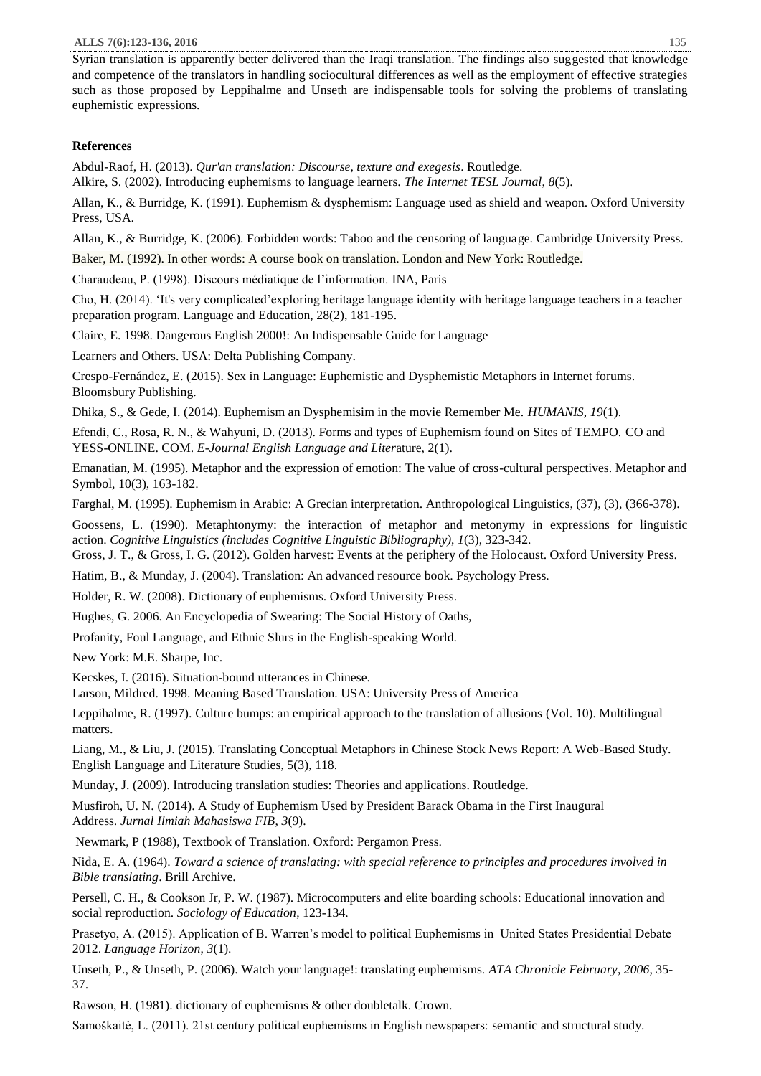Syrian translation is apparently better delivered than the Iraqi translation. The findings also suggested that knowledge and competence of the translators in handling sociocultural differences as well as the employment of effective strategies such as those proposed by Leppihalme and Unseth are indispensable tools for solving the problems of translating euphemistic expressions.

# **References**

Abdul-Raof, H. (2013). *Qur'an translation: Discourse, texture and exegesis*. Routledge.

Alkire, S. (2002). Introducing euphemisms to language learners. *The Internet TESL Journal*, *8*(5).

Allan, K., & Burridge, K. (1991). Euphemism & dysphemism: Language used as shield and weapon. Oxford University Press, USA.

Allan, K., & Burridge, K. (2006). Forbidden words: Taboo and the censoring of language. Cambridge University Press.

Baker, M. (1992). In other words: A course book on translation. London and New York: Routledge.

Charaudeau, P. (1998). Discours médiatique de l'information. INA, Paris

Cho, H. (2014). 'It's very complicated'exploring heritage language identity with heritage language teachers in a teacher preparation program. Language and Education, 28(2), 181-195.

Claire, E. 1998. Dangerous English 2000!: An Indispensable Guide for Language

Learners and Others. USA: Delta Publishing Company.

Crespo-Fernández, E. (2015). Sex in Language: Euphemistic and Dysphemistic Metaphors in Internet forums. Bloomsbury Publishing.

Dhika, S., & Gede, I. (2014). Euphemism an Dysphemisim in the movie Remember Me. *HUMANIS*, *19*(1).

Efendi, C., Rosa, R. N., & Wahyuni, D. (2013). Forms and types of Euphemism found on Sites of TEMPO. CO and YESS-ONLINE. COM. *E-Journal English Language and Liter*ature, 2(1).

Emanatian, M. (1995). Metaphor and the expression of emotion: The value of cross-cultural perspectives. Metaphor and Symbol, 10(3), 163-182.

Farghal, M. (1995). Euphemism in Arabic: A Grecian interpretation. Anthropological Linguistics, (37), (3), (366-378).

Goossens, L. (1990). Metaphtonymy: the interaction of metaphor and metonymy in expressions for linguistic action. *Cognitive Linguistics (includes Cognitive Linguistic Bibliography)*, *1*(3), 323-342.

Gross, J. T., & Gross, I. G. (2012). Golden harvest: Events at the periphery of the Holocaust. Oxford University Press.

Hatim, B., & Munday, J. (2004). Translation: An advanced resource book. Psychology Press.

Holder, R. W. (2008). Dictionary of euphemisms. Oxford University Press.

Hughes, G. 2006. An Encyclopedia of Swearing: The Social History of Oaths,

Profanity, Foul Language, and Ethnic Slurs in the English-speaking World.

New York: M.E. Sharpe, Inc.

Kecskes, I. (2016). Situation-bound utterances in Chinese.

Larson, Mildred. 1998. Meaning Based Translation. USA: University Press of America

Leppihalme, R. (1997). Culture bumps: an empirical approach to the translation of allusions (Vol. 10). Multilingual matters.

Liang, M., & Liu, J. (2015). Translating Conceptual Metaphors in Chinese Stock News Report: A Web-Based Study. English Language and Literature Studies, 5(3), 118.

Munday, J. (2009). Introducing translation studies: Theories and applications. Routledge.

Musfiroh, U. N. (2014). A Study of Euphemism Used by President Barack Obama in the First Inaugural Address. *Jurnal Ilmiah Mahasiswa FIB*, *3*(9).

Newmark, P (1988), Textbook of Translation. Oxford: Pergamon Press.

Nida, E. A. (1964). *Toward a science of translating: with special reference to principles and procedures involved in Bible translating*. Brill Archive.

Persell, C. H., & Cookson Jr, P. W. (1987). Microcomputers and elite boarding schools: Educational innovation and social reproduction. *Sociology of Education*, 123-134.

Prasetyo, A. (2015). Application of B. Warren's model to political Euphemisms in United States Presidential Debate 2012. *Language Horizon*, *3*(1).

Unseth, P., & Unseth, P. (2006). Watch your language!: translating euphemisms. *ATA Chronicle February*, *2006*, 35- 37.

Rawson, H. (1981). dictionary of euphemisms & other doubletalk. Crown.

Samoškaitė, L. (2011). 21st century political euphemisms in English newspapers: semantic and structural study.